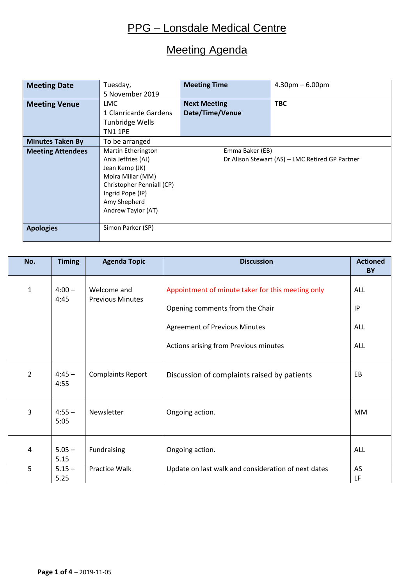# Meeting Agenda

| <b>Meeting Date</b>      | Tuesday,                                                              | <b>Meeting Time</b> | $4.30pm - 6.00pm$ |  |  |  |  |  |  |  |  |  |  |  |
|--------------------------|-----------------------------------------------------------------------|---------------------|-------------------|--|--|--|--|--|--|--|--|--|--|--|
|                          | 5 November 2019                                                       |                     |                   |  |  |  |  |  |  |  |  |  |  |  |
| <b>Meeting Venue</b>     | LMC.                                                                  | <b>Next Meeting</b> | <b>TBC</b>        |  |  |  |  |  |  |  |  |  |  |  |
|                          | 1 Clanricarde Gardens                                                 | Date/Time/Venue     |                   |  |  |  |  |  |  |  |  |  |  |  |
|                          | Tunbridge Wells                                                       |                     |                   |  |  |  |  |  |  |  |  |  |  |  |
|                          | <b>TN1 1PE</b>                                                        |                     |                   |  |  |  |  |  |  |  |  |  |  |  |
| <b>Minutes Taken By</b>  | To be arranged                                                        |                     |                   |  |  |  |  |  |  |  |  |  |  |  |
| <b>Meeting Attendees</b> | Martin Etherington<br>Emma Baker (EB)                                 |                     |                   |  |  |  |  |  |  |  |  |  |  |  |
|                          | Ania Jeffries (AJ)<br>Dr Alison Stewart (AS) - LMC Retired GP Partner |                     |                   |  |  |  |  |  |  |  |  |  |  |  |
|                          | Jean Kemp (JK)                                                        |                     |                   |  |  |  |  |  |  |  |  |  |  |  |
|                          | Moira Millar (MM)                                                     |                     |                   |  |  |  |  |  |  |  |  |  |  |  |
|                          | Christopher Penniall (CP)                                             |                     |                   |  |  |  |  |  |  |  |  |  |  |  |
|                          | Ingrid Pope (IP)                                                      |                     |                   |  |  |  |  |  |  |  |  |  |  |  |
|                          | Amy Shepherd                                                          |                     |                   |  |  |  |  |  |  |  |  |  |  |  |
|                          | Andrew Taylor (AT)                                                    |                     |                   |  |  |  |  |  |  |  |  |  |  |  |
|                          |                                                                       |                     |                   |  |  |  |  |  |  |  |  |  |  |  |
| <b>Apologies</b>         | Simon Parker (SP)                                                     |                     |                   |  |  |  |  |  |  |  |  |  |  |  |
|                          |                                                                       |                     |                   |  |  |  |  |  |  |  |  |  |  |  |

| No.            | <b>Timing</b>    | <b>Agenda Topic</b>                    | <b>Discussion</b>                                                                                                                                                     | <b>Actioned</b><br><b>BY</b>   |  |  |  |
|----------------|------------------|----------------------------------------|-----------------------------------------------------------------------------------------------------------------------------------------------------------------------|--------------------------------|--|--|--|
| 1              | $4:00 -$<br>4:45 | Welcome and<br><b>Previous Minutes</b> | Appointment of minute taker for this meeting only<br>Opening comments from the Chair<br><b>Agreement of Previous Minutes</b><br>Actions arising from Previous minutes | ALL<br>IP<br>ALL<br><b>ALL</b> |  |  |  |
| $\overline{2}$ | $4:45 -$<br>4:55 | <b>Complaints Report</b>               | Discussion of complaints raised by patients                                                                                                                           | EB                             |  |  |  |
| 3              | $4:55 -$<br>5:05 | Newsletter                             | Ongoing action.                                                                                                                                                       | <b>MM</b>                      |  |  |  |
| 4              | $5.05 -$<br>5.15 | Fundraising                            | Ongoing action.                                                                                                                                                       | <b>ALL</b>                     |  |  |  |
| 5              | $5.15 -$<br>5.25 | Practice Walk                          | Update on last walk and consideration of next dates                                                                                                                   | AS<br>LF                       |  |  |  |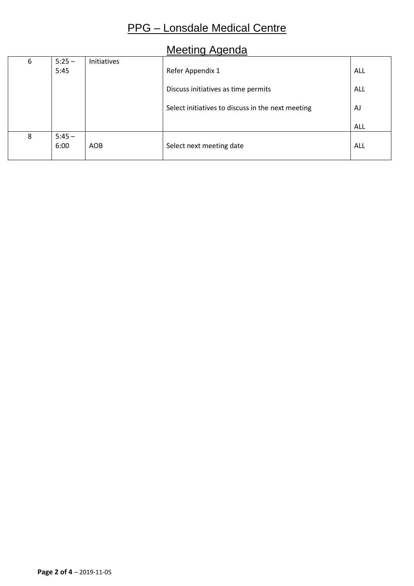### Meeting Agenda

| 6 | $5:25 -$ | Initiatives |                                                   |     |
|---|----------|-------------|---------------------------------------------------|-----|
|   | 5:45     |             | Refer Appendix 1                                  | ALL |
|   |          |             |                                                   |     |
|   |          |             | Discuss initiatives as time permits               | ALL |
|   |          |             |                                                   |     |
|   |          |             | Select initiatives to discuss in the next meeting | AJ  |
|   |          |             |                                                   |     |
|   |          |             |                                                   | ALL |
| 8 | $5:45 -$ |             |                                                   |     |
|   | 6:00     | AOB         | Select next meeting date                          | ALL |
|   |          |             |                                                   |     |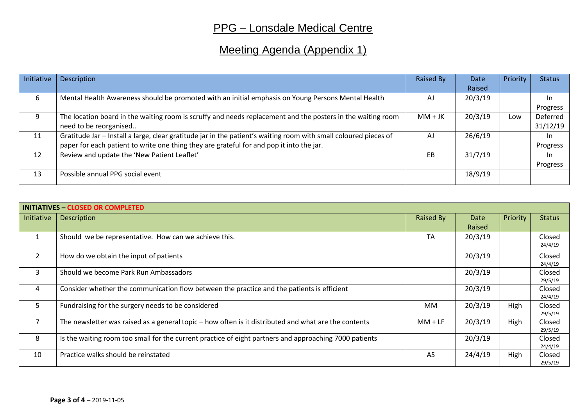# Meeting Agenda (Appendix 1)

| Initiative | Description                                                                                                      | Raised By | Date    | Priority | <b>Status</b> |
|------------|------------------------------------------------------------------------------------------------------------------|-----------|---------|----------|---------------|
|            |                                                                                                                  |           | Raised  |          |               |
| 6          | Mental Health Awareness should be promoted with an initial emphasis on Young Persons Mental Health               | AJ        | 20/3/19 |          | <b>In</b>     |
|            |                                                                                                                  |           |         |          | Progress      |
| 9          | The location board in the waiting room is scruffy and needs replacement and the posters in the waiting room      | $MM + JK$ | 20/3/19 | Low      | Deferred      |
|            | need to be reorganised                                                                                           |           |         |          | 31/12/19      |
| 11         | Gratitude Jar - Install a large, clear gratitude jar in the patient's waiting room with small coloured pieces of | AJ        | 26/6/19 |          | In.           |
|            | paper for each patient to write one thing they are grateful for and pop it into the jar.                         |           |         |          | Progress      |
| 12         | Review and update the 'New Patient Leaflet'                                                                      | EB        | 31/7/19 |          | In.           |
|            |                                                                                                                  |           |         |          | Progress      |
| 13         | Possible annual PPG social event                                                                                 |           | 18/9/19 |          |               |
|            |                                                                                                                  |           |         |          |               |

|                | <b>INITIATIVES - CLOSED OR COMPLETED</b>                                                               |           |             |          |                   |
|----------------|--------------------------------------------------------------------------------------------------------|-----------|-------------|----------|-------------------|
| Initiative     | <b>Description</b>                                                                                     | Raised By | <b>Date</b> | Priority | <b>Status</b>     |
|                |                                                                                                        |           | Raised      |          |                   |
| $\mathbf{1}$   | Should we be representative. How can we achieve this.                                                  | <b>TA</b> | 20/3/19     |          | Closed<br>24/4/19 |
| $\overline{2}$ | How do we obtain the input of patients                                                                 |           | 20/3/19     |          | Closed<br>24/4/19 |
| 3              | Should we become Park Run Ambassadors                                                                  |           | 20/3/19     |          | Closed<br>29/5/19 |
| 4              | Consider whether the communication flow between the practice and the patients is efficient             |           | 20/3/19     |          | Closed<br>24/4/19 |
| 5              | Fundraising for the surgery needs to be considered                                                     | MM        | 20/3/19     | High     | Closed<br>29/5/19 |
| 7              | The newsletter was raised as a general topic - how often is it distributed and what are the contents   | $MM + LF$ | 20/3/19     | High     | Closed<br>29/5/19 |
| 8              | Is the waiting room too small for the current practice of eight partners and approaching 7000 patients |           | 20/3/19     |          | Closed<br>24/4/19 |
| 10             | Practice walks should be reinstated                                                                    | AS        | 24/4/19     | High     | Closed<br>29/5/19 |